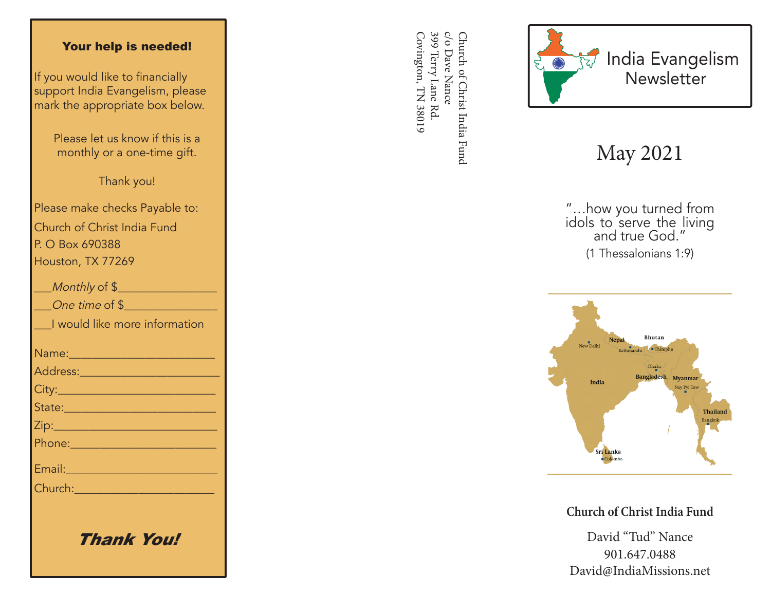#### Your help is needed!

If you would like to financially support India Evangelism, please mark the appropriate box below.

> Please let us know if this is a monthly or a one-time gift.

> > Thank you!

Please make checks Payable to: Church of Christ India Fund P. O Box 690388 Houston, TX 77269

| Monthly of \$                                                                                                                                                                                                                        |
|--------------------------------------------------------------------------------------------------------------------------------------------------------------------------------------------------------------------------------------|
| One time of \$                                                                                                                                                                                                                       |
| I would like more information                                                                                                                                                                                                        |
|                                                                                                                                                                                                                                      |
| Address:_________________________                                                                                                                                                                                                    |
|                                                                                                                                                                                                                                      |
| State: 2008 - 2008 - 2010 - 2010 - 2011 - 2012 - 2012 - 2012 - 2012 - 2012 - 2012 - 2012 - 2012 - 2013 - 2014                                                                                                                        |
|                                                                                                                                                                                                                                      |
|                                                                                                                                                                                                                                      |
| Email: 2008 - 2008 - 2014 - 2014 - 2014 - 2014 - 2014 - 2014 - 2014 - 2014 - 2014 - 2014 - 2014 - 2014 - 2014                                                                                                                        |
| Church: <u>Alexander Alexander Alexander Alexander Alexander Alexander Alexander Alexander Alexander Alexander Alexander Alexander Alexander Alexander Alexander Alexander Alexander Alexander Alexander Alexander Alexander Ale</u> |
|                                                                                                                                                                                                                                      |
|                                                                                                                                                                                                                                      |

Thank You!

399 Terry Lane Rd. c/o Dave Nance Covington, TN 38019 Covington, TN 38019 399 Terry Lane Rd. c/o Dave Nance Church of Christ India Fund Church of Christ India Fund



# May 2021

"…how you turned from idols to serve the living and true God." (1 Thessalonians 1:9)



**Church of Christ India Fund**

David "Tud" Nance 901.647.0488 David@IndiaMissions.net